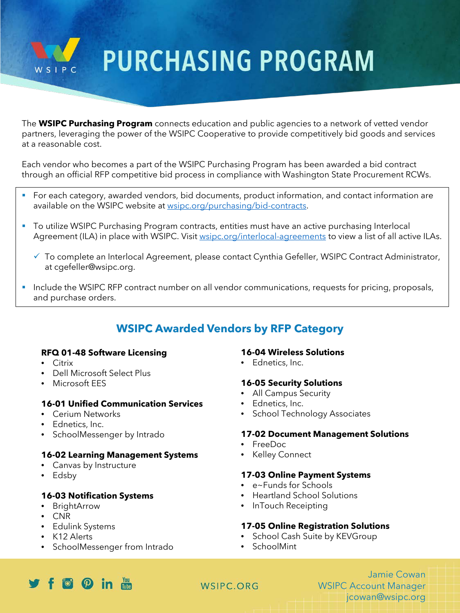

# **PURCHASING PROGRAM**

The **WSIPC Purchasing Program** connects education and public agencies to a network of vetted vendor partners, leveraging the power of the WSIPC Cooperative to provide competitively bid goods and services at a reasonable cost.

Each vendor who becomes a part of the WSIPC Purchasing Program has been awarded a bid contract through an official RFP competitive bid process in compliance with Washington State Procurement RCWs.

- For each category, awarded vendors, bid documents, product information, and contact information are available on the WSIPC website at [wsipc.org/purchasing/bid-contracts.](https://www.wsipc.org/purchasing/bid-contracts)
- **The Unite WEIPC Purchasing Program contracts, entities must have an active purchasing Interlocal** Agreement (ILA) in place with WSIPC. Visit [wsipc.org/interlocal-agreements](http://www.wsipc.org/interlocal-agreements) to view a list of all active ILAs.
	- $\checkmark$  To complete an Interlocal Agreement, please contact Cynthia Gefeller, WSIPC Contract Administrator, at cgefeller@wsipc.org.
- Include the WSIPC RFP contract number on all vendor communications, requests for pricing, proposals, and purchase orders.

# **WSIPC Awarded Vendors by RFP Category**

#### **RFQ 01-48 Software Licensing**

- Citrix
- Dell Microsoft Select Plus
- Microsoft EES

# **16-01 Unified Communication Services**

- Cerium Networks
- Ednetics, Inc.
- SchoolMessenger by Intrado

# **16-02 Learning Management Systems**

- Canvas by Instructure
- Edsby

#### **16-03 Notification Systems**

- BrightArrow
- CNR
- Edulink Systems
- K12 Alerts
- SchoolMessenger from Intrado

#### **16-04 Wireless Solutions**

• Ednetics, Inc.

#### **16-05 Security Solutions**

- All Campus Security
- Ednetics, Inc.
- School Technology Associates

#### **17-02 Document Management Solutions**

- FreeDoc
- Kelley Connect

#### **17-03 Online Payment Systems**

- e~Funds for Schools
- Heartland School Solutions
- InTouch Receipting

#### **17-05 Online Registration Solutions**

- School Cash Suite by KEVGroup
- SchoolMint

# $f$  f  $f$   $\Omega$  in  $m$

# WSIPC.ORG

Jamie Cowan WSIPC Account Manager jcowan@wsipc.org